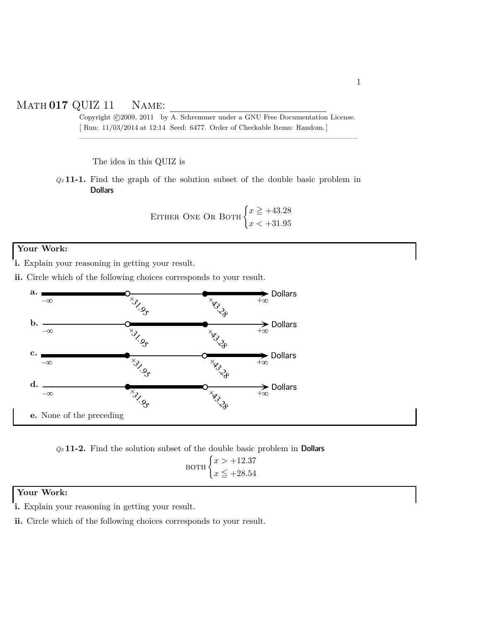## Math **017** QUIZ 11 Name:

Copyright ©2009, 2011 by A. Schremmer under a GNU Free Documentation License. [ Run: 11/03/2014 at 12:14 Seed: 6477. Order of Checkable Items: Random.]

————————————————————————————————–

The idea in this QUIZ is

*Qz* **11-1.** Find the graph of the solution subset of the double basic problem in Dollars

EITHER ONE OR BOTH 
$$
\begin{cases} x \geq +43.28 \\ x < +31.95 \end{cases}
$$

## **Your Work:**

**i.** Explain your reasoning in getting your result.

**ii.** Circle which of the following choices corresponds to your result.



*Qz* **11-2.** Find the solution subset of the double basic problem in Dollars  $_{\rm BOTH}$   $\left\{ x > +12.37 \right\}$  $x \leq +28.54$ 

## **Your Work:**

**i.** Explain your reasoning in getting your result.

**ii.** Circle which of the following choices corresponds to your result.